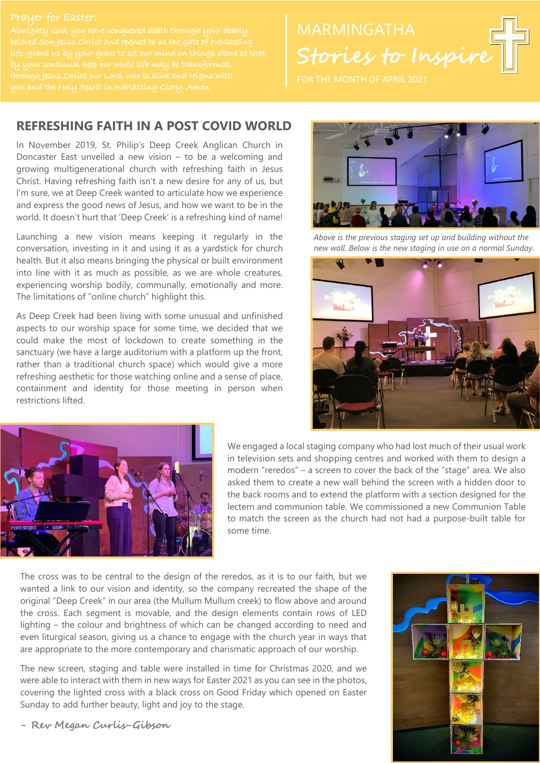#### Prayer for Easter:

beloved Son Jesus Christ and opened to us the gate of everlasting

# **Stories to Inspire**

#### **REFRESHING FAITH IN A POST COVID WORLD**

In November 2019, St. Philip's Deep Creek Anglican Church in Doncaster East unveiled a new vision – to be a welcoming and growing multigenerational church with refreshing faith in Jesus Christ. Having refreshing faith isn't a new desire for any of us, but I'm sure, we at Deep Creek wanted to articulate how we experience and express the good news of Jesus, and how we want to be in the world. It doesn't hurt that 'Deep Creek' is a refreshing kind of name!

Launching a new vision means keeping it regularly in the conversation, investing in it and using it as a yardstick for church health. But it also means bringing the physical or built environment into line with it as much as possible, as we are whole creatures, experiencing worship bodily, communally, emotionally and more. The limitations of "online church" highlight this.

As Deep Creek had been living with some unusual and unfinished aspects to our worship space for some time, we decided that we could make the most of lockdown to create something in the sanctuary (we have a large auditorium with a platform up the front, rather than a traditional church space) which would give a more refreshing aesthetic for those watching online and a sense of place, containment and identity for those meeting in person when restrictions lifted.



*Above is the previous staging set up and building without the new wall. Below is the new staging in use on a normal Sunday.*





We engaged a local staging company who had lost much of their usual work in television sets and shopping centres and worked with them to design a modern "reredos" – a screen to cover the back of the "stage" area. We also asked them to create a new wall behind the screen with a hidden door to the back rooms and to extend the platform with a section designed for the lectern and communion table. We commissioned a new Communion Table to match the screen as the church had not had a purpose-built table for some time.

The cross was to be central to the design of the reredos, as it is to our faith, but we wanted a link to our vision and identity, so the company recreated the shape of the original "Deep Creek" in our area (the Mullum Mullum creek) to flow above and around the cross. Each segment is movable, and the design elements contain rows of LED lighting – the colour and brightness of which can be changed according to need and even liturgical season, giving us a chance to engage with the church year in ways that are appropriate to the more contemporary and charismatic approach of our worship.

The new screen, staging and table were installed in time for Christmas 2020, and we were able to interact with them in new ways for Easter 2021 as you can see in the photos, covering the lighted cross with a black cross on Good Friday which opened on Easter Sunday to add further beauty, light and joy to the stage.